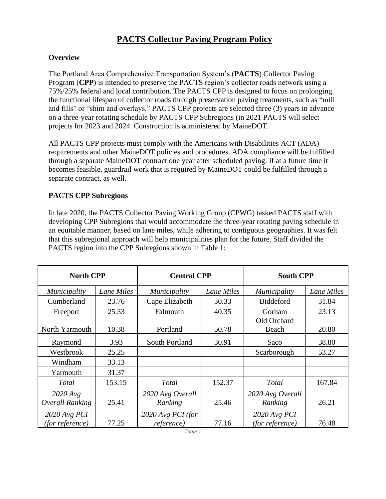# **PACTS Collector Paving Program Policy**

### **Overview**

The Portland Area Comprehensive Transportation System's (**PACTS**) Collector Paving Program (**CPP**) is intended to preserve the PACTS region's collector roads network using a 75%/25% federal and local contribution. The PACTS CPP is designed to focus on prolonging the functional lifespan of collector roads through preservation paving treatments, such as "mill and fills" or "shim and overlays." PACTS CPP projects are selected three (3) years in advance on a three-year rotating schedule by PACTS CPP Subregions (in 2021 PACTS will select projects for 2023 and 2024. Construction is administered by MaineDOT.

All PACTS CPP projects must comply with the Americans with Disabilities ACT (ADA) requirements and other MaineDOT policies and procedures. ADA compliance will be fulfilled through a separate MaineDOT contract one year after scheduled paving. If at a future time it becomes feasible, guardrail work that is required by MaineDOT could be fulfilled through a separate contract, as well.

# **PACTS CPP Subregions**

In late 2020, the PACTS Collector Paving Working Group (CPWG) tasked PACTS staff with developing CPP Subregions that would accommodate the three-year rotating paving schedule in an equitable manner, based on lane miles, while adhering to contiguous geographies. It was felt that this subregional approach will help municipalities plan for the future. Staff divided the PACTS region into the CPP Subregions shown in Table 1:

| <b>North CPP</b>                  |            | <b>Central CPP</b>              |            | <b>South CPP</b>                  |            |
|-----------------------------------|------------|---------------------------------|------------|-----------------------------------|------------|
| <i>Municipality</i>               | Lane Miles | <i>Municipality</i>             | Lane Miles | <i>Municipality</i>               | Lane Miles |
| Cumberland                        | 23.76      | Cape Elizabeth                  | 30.33      | Biddeford                         | 31.84      |
| Freeport                          | 25.33      | Falmouth                        | 40.35      | Gorham                            | 23.13      |
| North Yarmouth                    | 10.38      | Portland                        | 50.78      | Old Orchard<br>Beach              | 20.80      |
| Raymond                           | 3.93       | South Portland                  | 30.91      | Saco                              | 38.80      |
| Westbrook                         | 25.25      |                                 |            | Scarborough                       | 53.27      |
| Windham                           | 33.13      |                                 |            |                                   |            |
| Yarmouth                          | 31.37      |                                 |            |                                   |            |
| <b>Total</b>                      | 153.15     | <b>Total</b>                    | 152.37     | <b>T</b> otal                     | 167.84     |
| $2020$ Avg<br>Overall Ranking     | 25.41      | 2020 Avg Overall<br>Ranking     | 25.46      | 2020 Avg Overall<br>Ranking       | 26.21      |
| $2020$ Avg PCI<br>(for reference) | 77.25      | 2020 Avg PCI (for<br>reference) | 77.16      | $2020$ Avg PCI<br>(for reference) | 76.48      |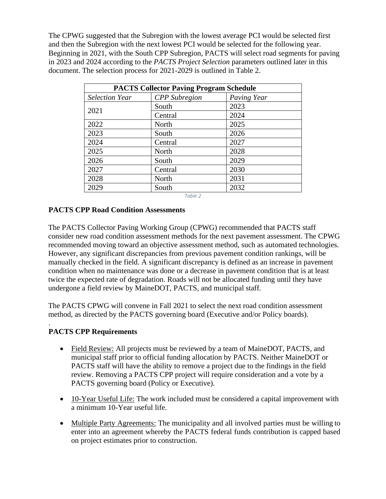The CPWG suggested that the Subregion with the lowest average PCI would be selected first and then the Subregion with the next lowest PCI would be selected for the following year. Beginning in 2021, with the South CPP Subregion, PACTS will select road segments for paving in 2023 and 2024 according to the *PACTS Project Selection* parameters outlined later in this document. The selection process for 2021-2029 is outlined in Table 2.

| <b>PACTS Collector Paving Program Schedule</b> |                      |             |  |  |
|------------------------------------------------|----------------------|-------------|--|--|
| <b>Selection Year</b>                          | <b>CPP</b> Subregion | Paving Year |  |  |
| 2021                                           | South                | 2023        |  |  |
|                                                | Central              | 2024        |  |  |
| 2022                                           | North                | 2025        |  |  |
| 2023                                           | South                | 2026        |  |  |
| 2024                                           | Central              | 2027        |  |  |
| 2025                                           | North                | 2028        |  |  |
| 2026                                           | South                | 2029        |  |  |
| 2027                                           | Central              | 2030        |  |  |
| 2028                                           | North                | 2031        |  |  |
| 2029                                           | South                | 2032        |  |  |

*Table 2*

# **PACTS CPP Road Condition Assessments**

The PACTS Collector Paving Working Group (CPWG) recommended that PACTS staff consider new road condition assessment methods for the next pavement assessment. The CPWG recommended moving toward an objective assessment method, such as automated technologies. However, any significant discrepancies from previous pavement condition rankings, will be manually checked in the field. A significant discrepancy is defined as an increase in pavement condition when no maintenance was done or a decrease in pavement condition that is at least twice the expected rate of degradation. Roads will not be allocated funding until they have undergone a field review by MaineDOT, PACTS, and municipal staff.

The PACTS CPWG will convene in Fall 2021 to select the next road condition assessment method, as directed by the PACTS governing board (Executive and/or Policy boards).

#### . **PACTS CPP Requirements**

- Field Review: All projects must be reviewed by a team of MaineDOT, PACTS, and municipal staff prior to official funding allocation by PACTS. Neither MaineDOT or PACTS staff will have the ability to remove a project due to the findings in the field review. Removing a PACTS CPP project will require consideration and a vote by a PACTS governing board (Policy or Executive).
- 10-Year Useful Life: The work included must be considered a capital improvement with a minimum 10-Year useful life.
- Multiple Party Agreements: The municipality and all involved parties must be willing to enter into an agreement whereby the PACTS federal funds contribution is capped based on project estimates prior to construction.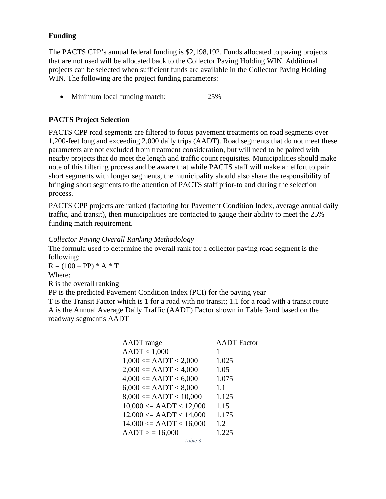### **Funding**

The PACTS CPP's annual federal funding is \$2,198,192. Funds allocated to paving projects that are not used will be allocated back to the Collector Paving Holding WIN. Additional projects can be selected when sufficient funds are available in the Collector Paving Holding WIN. The following are the project funding parameters:

• Minimum local funding match: 25%

# **PACTS Project Selection**

PACTS CPP road segments are filtered to focus pavement treatments on road segments over 1,200-feet long and exceeding 2,000 daily trips (AADT). Road segments that do not meet these parameters are not excluded from treatment consideration, but will need to be paired with nearby projects that do meet the length and traffic count requisites. Municipalities should make note of this filtering process and be aware that while PACTS staff will make an effort to pair short segments with longer segments, the municipality should also share the responsibility of bringing short segments to the attention of PACTS staff prior-to and during the selection process.

PACTS CPP projects are ranked (factoring for Pavement Condition Index, average annual daily traffic, and transit), then municipalities are contacted to gauge their ability to meet the 25% funding match requirement.

*Collector Paving Overall Ranking Methodology* 

The formula used to determine the overall rank for a collector paving road segment is the following:

 $R = (100 - PP) * A * T$ 

Where:

R is the overall ranking

PP is the predicted Pavement Condition Index (PCI) for the paving year

T is the Transit Factor which is 1 for a road with no transit; 1.1 for a road with a transit route A is the Annual Average Daily Traffic (AADT) Factor shown in Table 3and based on the roadway segment's AADT

| <b>AADT</b> range              | <b>AADT</b> Factor |
|--------------------------------|--------------------|
| AADT < 1,000                   | 1                  |
| $1,000 \leq AADT \leq 2,000$   | 1.025              |
| $2,000 \leq AADT \leq 4,000$   | 1.05               |
| $4,000 \leq AADT \leq 6,000$   | 1.075              |
| $6,000 \leq AADT \leq 8,000$   | 1.1                |
| $8,000 \leq AADT \leq 10,000$  | 1.125              |
| $10,000 \leq AADT \leq 12,000$ | 1.15               |
| $12,000 \leq AADT \leq 14,000$ | 1.175              |
| $14,000 \leq AADT \leq 16,000$ | 1.2                |
| AADT > 16,000                  | 1.225              |